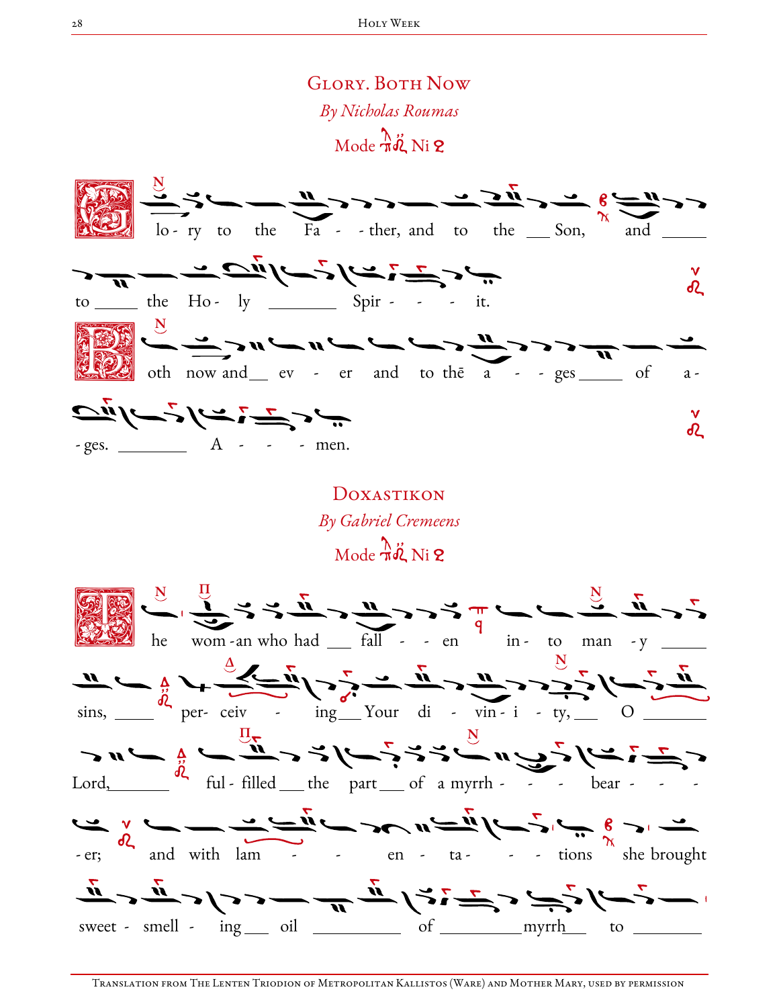

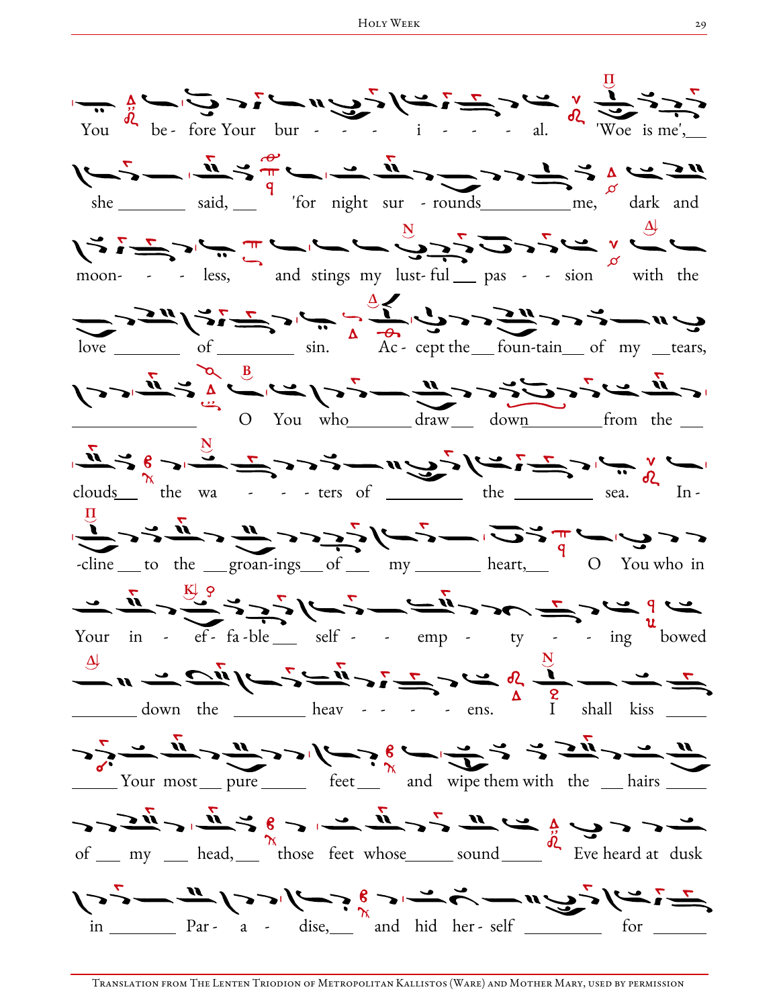